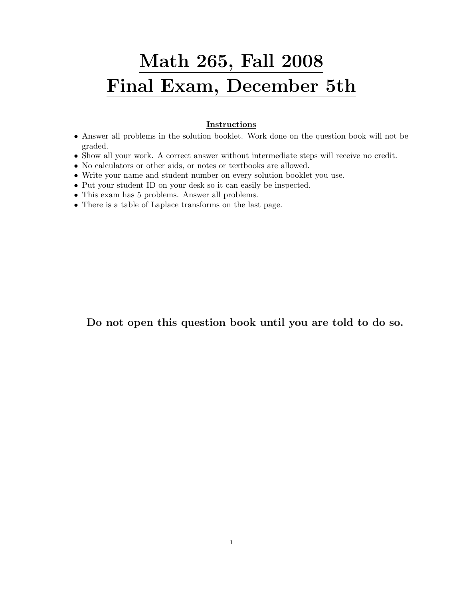## Math 265, Fall 2008 Final Exam, December 5th

## **Instructions**

- Answer all problems in the solution booklet. Work done on the question book will not be graded.
- Show all your work. A correct answer without intermediate steps will receive no credit.
- No calculators or other aids, or notes or textbooks are allowed.
- Write your name and student number on every solution booklet you use.
- Put your student ID on your desk so it can easily be inspected.
- This exam has 5 problems. Answer all problems.
- There is a table of Laplace transforms on the last page.

Do not open this question book until you are told to do so.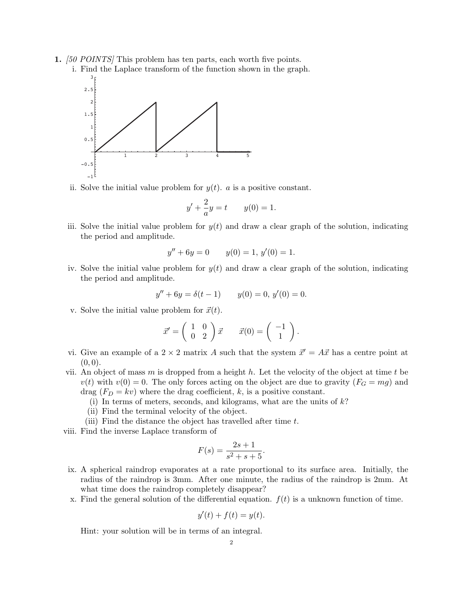- 1. [50 POINTS] This problem has ten parts, each worth five points.
	- i. Find the Laplace transform of the function shown in the graph. 3



ii. Solve the initial value problem for  $y(t)$ . *a* is a positive constant.

$$
y' + \frac{2}{a}y = t
$$
  $y(0) = 1.$ 

iii. Solve the initial value problem for  $y(t)$  and draw a clear graph of the solution, indicating the period and amplitude.

$$
y'' + 6y = 0 \t y(0) = 1, y'(0) = 1.
$$

iv. Solve the initial value problem for  $y(t)$  and draw a clear graph of the solution, indicating the period and amplitude.

$$
y'' + 6y = \delta(t - 1) \qquad y(0) = 0, \ y'(0) = 0.
$$

v. Solve the initial value problem for  $\vec{x}(t)$ .

$$
\vec{x}' = \begin{pmatrix} 1 & 0 \\ 0 & 2 \end{pmatrix} \vec{x} \qquad \vec{x}(0) = \begin{pmatrix} -1 \\ 1 \end{pmatrix}.
$$

- vi. Give an example of a  $2 \times 2$  matrix A such that the system  $\vec{x}' = A\vec{x}$  has a centre point at  $(0, 0).$
- vii. An object of mass m is dropped from a height h. Let the velocity of the object at time t be  $v(t)$  with  $v(0) = 0$ . The only forces acting on the object are due to gravity  $(F_G = mg)$  and drag  $(F_D = kv)$  where the drag coefficient, k, is a positive constant.
	- (i) In terms of meters, seconds, and kilograms, what are the units of  $k$ ?
	- (ii) Find the terminal velocity of the object.
	- (iii) Find the distance the object has travelled after time t.
- viii. Find the inverse Laplace transform of

$$
F(s) = \frac{2s+1}{s^2+s+5}.
$$

- ix. A spherical raindrop evaporates at a rate proportional to its surface area. Initially, the radius of the raindrop is 3mm. After one minute, the radius of the raindrop is 2mm. At what time does the raindrop completely disappear?
- x. Find the general solution of the differential equation.  $f(t)$  is a unknown function of time.

$$
y'(t) + f(t) = y(t).
$$

Hint: your solution will be in terms of an integral.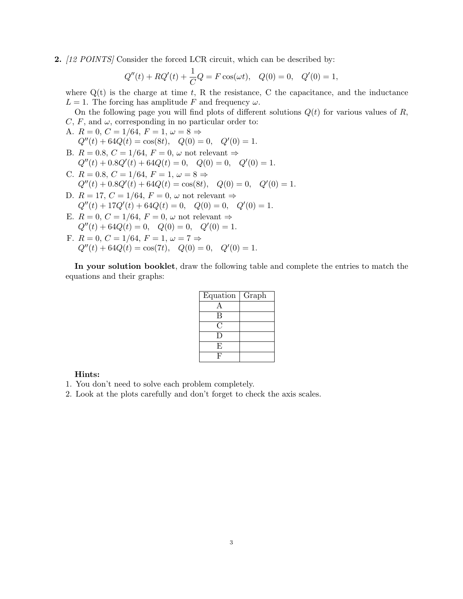2. [12 POINTS] Consider the forced LCR circuit, which can be described by:

$$
Q''(t) + RQ'(t) + \frac{1}{C}Q = F \cos(\omega t), \quad Q(0) = 0, \quad Q'(0) = 1,
$$

where  $Q(t)$  is the charge at time t, R the resistance, C the capacitance, and the inductance  $L = 1$ . The forcing has amplitude F and frequency  $\omega$ .

On the following page you will find plots of different solutions  $Q(t)$  for various values of R,  $C, F,$  and  $\omega$ , corresponding in no particular order to:

A. 
$$
R = 0
$$
,  $C = 1/64$ ,  $F = 1$ ,  $\omega = 8 \Rightarrow$   
 $Q''(t) + 64Q(t) = \cos(8t)$ ,  $Q(0) = 0$ ,  $Q'(0) = 1$ .

- B.  $R = 0.8$ ,  $C = 1/64$ ,  $F = 0$ ,  $\omega$  not relevant  $\Rightarrow$  $Q''(t) + 0.8Q'(t) + 64Q(t) = 0$ ,  $Q(0) = 0$ ,  $Q'(0) = 1$ .
- C.  $R = 0.8, C = 1/64, F = 1, \omega = 8 \Rightarrow$  $Q''(t) + 0.8Q'(t) + 64Q(t) = \cos(8t), \quad Q(0) = 0, \quad Q'(0) = 1.$
- D.  $R = 17, C = 1/64, F = 0, \omega$  not relevant  $\Rightarrow$  $Q''(t) + 17Q'(t) + 64Q(t) = 0$ ,  $Q(0) = 0$ ,  $Q'(0) = 1$ .
- E.  $R = 0$ ,  $C = 1/64$ ,  $F = 0$ ,  $\omega$  not relevant  $\Rightarrow$  $Q''(t) + 64Q(t) = 0$ ,  $Q(0) = 0$ ,  $Q'(0) = 1$ .
- F.  $R = 0$ ,  $C = 1/64$ ,  $F = 1$ ,  $\omega = 7 \Rightarrow$  $Q''(t) + 64Q(t) = \cos(7t), \quad Q(0) = 0, \quad Q'(0) = 1.$

In your solution booklet, draw the following table and complete the entries to match the equations and their graphs:

| Equation | Graph |
|----------|-------|
| А        |       |
| B        |       |
| С.       |       |
| Ð        |       |
| Ε        |       |
|          |       |

## Hints:

- 1. You don't need to solve each problem completely.
- 2. Look at the plots carefully and don't forget to check the axis scales.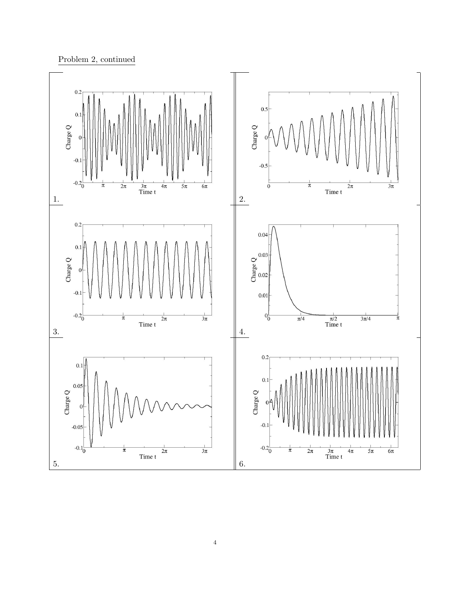

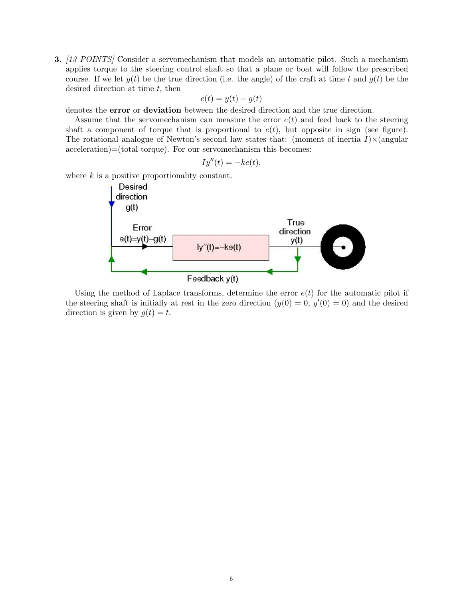3. [13 POINTS] Consider a servomechanism that models an automatic pilot. Such a mechanism applies torque to the steering control shaft so that a plane or boat will follow the prescribed course. If we let  $y(t)$  be the true direction (i.e. the angle) of the craft at time t and  $g(t)$  be the desired direction at time  $t$ , then

$$
e(t) = y(t) - g(t)
$$

denotes the error or deviation between the desired direction and the true direction.

Assume that the servomechanism can measure the error  $e(t)$  and feed back to the steering shaft a component of torque that is proportional to  $e(t)$ , but opposite in sign (see figure). The rotational analogue of Newton's second law states that: (moment of inertia  $I \times \Omega$ ) acceleration)=(total torque). For our servomechanism this becomes:

$$
Iy''(t) = -ke(t),
$$

where  $k$  is a positive proportionality constant.



Using the method of Laplace transforms, determine the error  $e(t)$  for the automatic pilot if the steering shaft is initially at rest in the zero direction  $(y(0) = 0, y'(0) = 0)$  and the desired direction is given by  $g(t) = t$ .